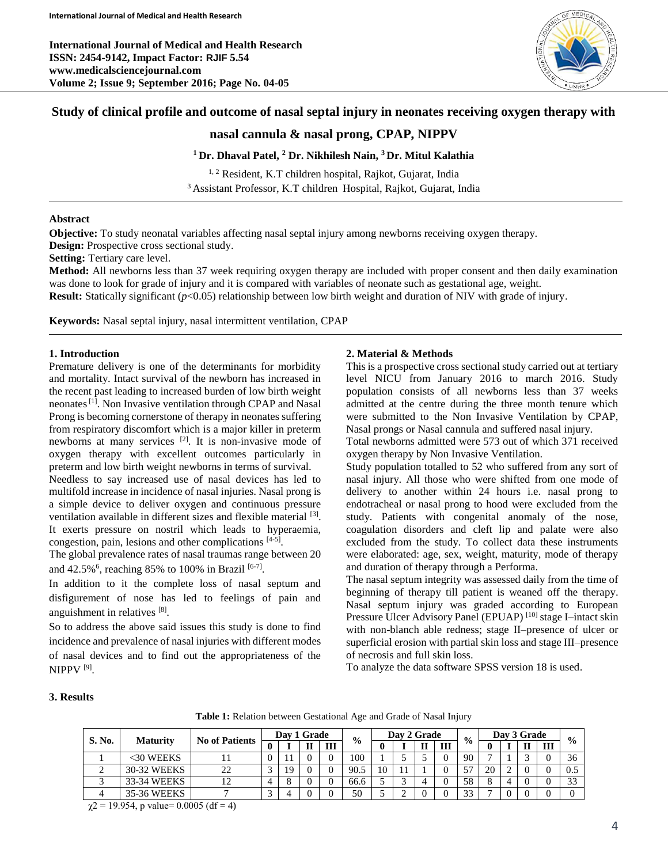**International Journal of Medical and Health Research ISSN: 2454-9142, Impact Factor: RJIF 5.54 www.medicalsciencejournal.com Volume 2; Issue 9; September 2016; Page No. 04-05**



# **Study of clinical profile and outcome of nasal septal injury in neonates receiving oxygen therapy with**

## **nasal cannula & nasal prong, CPAP, NIPPV**

### **<sup>1</sup>Dr. Dhaval Patel, <sup>2</sup> Dr. Nikhilesh Nain, <sup>3</sup>Dr. Mitul Kalathia**

<sup>1, 2</sup> Resident, K.T children hospital, Rajkot, Gujarat, India <sup>3</sup>Assistant Professor, K.T children Hospital, Rajkot, Gujarat, India

## **Abstract**

**Objective:** To study neonatal variables affecting nasal septal injury among newborns receiving oxygen therapy.

**Design:** Prospective cross sectional study.

**Setting:** Tertiary care level.

**Method:** All newborns less than 37 week requiring oxygen therapy are included with proper consent and then daily examination was done to look for grade of injury and it is compared with variables of neonate such as gestational age, weight. **Result:** Statically significant ( $p<0.05$ ) relationship between low birth weight and duration of NIV with grade of injury.

**Keywords:** Nasal septal injury, nasal intermittent ventilation, CPAP

#### **1. Introduction**

Premature delivery is one of the determinants for morbidity and mortality. Intact survival of the newborn has increased in the recent past leading to increased burden of low birth weight neonates<sup>[1]</sup>. Non Invasive ventilation through CPAP and Nasal Prong is becoming cornerstone of therapy in neonates suffering from respiratory discomfort which is a major killer in preterm newborns at many services <sup>[2]</sup>. It is non-invasive mode of oxygen therapy with excellent outcomes particularly in preterm and low birth weight newborns in terms of survival.

Needless to say increased use of nasal devices has led to multifold increase in incidence of nasal injuries. Nasal prong is a simple device to deliver oxygen and continuous pressure ventilation available in different sizes and flexible material [3]. It exerts pressure on nostril which leads to hyperaemia, congestion, pain, lesions and other complications [4-5] .

The global prevalence rates of nasal traumas range between 20 and 42.5%<sup>6</sup>, reaching 85% to 100% in Brazil<sup>[6-7]</sup>.

In addition to it the complete loss of nasal septum and disfigurement of nose has led to feelings of pain and anguishment in relatives [8].

So to address the above said issues this study is done to find incidence and prevalence of nasal injuries with different modes of nasal devices and to find out the appropriateness of the NIPPV [9] .

#### **2. Material & Methods**

This is a prospective cross sectional study carried out at tertiary level NICU from January 2016 to march 2016. Study population consists of all newborns less than 37 weeks admitted at the centre during the three month tenure which were submitted to the Non Invasive Ventilation by CPAP, Nasal prongs or Nasal cannula and suffered nasal injury.

Total newborns admitted were 573 out of which 371 received oxygen therapy by Non Invasive Ventilation.

Study population totalled to 52 who suffered from any sort of nasal injury. All those who were shifted from one mode of delivery to another within 24 hours i.e. nasal prong to endotracheal or nasal prong to hood were excluded from the study. Patients with congenital anomaly of the nose, coagulation disorders and cleft lip and palate were also excluded from the study. To collect data these instruments were elaborated: age, sex, weight, maturity, mode of therapy and duration of therapy through a Performa.

The nasal septum integrity was assessed daily from the time of beginning of therapy till patient is weaned off the therapy. Nasal septum injury was graded according to European Pressure Ulcer Advisory Panel (EPUAP)<sup>[10]</sup> stage I-intact skin with non-blanch able redness; stage II–presence of ulcer or superficial erosion with partial skin loss and stage III–presence of necrosis and full skin loss.

To analyze the data software SPSS version 18 is used.

#### **3. Results**

**Table 1:** Relation between Gestational Age and Grade of Nasal Injury

| S. No. |                 | <b>No of Patients</b> |  | Day 1 Grade |  |   |               | Day 2 Grade |  |  |   | $\frac{6}{6}$            | Day 3 Grade    |              |   |               |
|--------|-----------------|-----------------------|--|-------------|--|---|---------------|-------------|--|--|---|--------------------------|----------------|--------------|---|---------------|
|        | <b>Maturity</b> |                       |  |             |  | Ш | $\frac{0}{0}$ |             |  |  | Ш |                          |                | $\mathbf{I}$ | Ш | $\frac{0}{0}$ |
|        | <30 WEEKS       |                       |  |             |  |   | 100           |             |  |  | 0 | 90                       | $\overline{ }$ | ⌒            |   | 36            |
|        | 30-32 WEEKS     |                       |  | 9           |  |   | 90.5          | 10          |  |  |   | $\overline{\phantom{a}}$ | 20             | 0            |   | v.e           |
|        | 33-34 WEEKS     |                       |  |             |  |   | 66.6          |             |  |  |   | 58                       |                |              |   | $\sim$        |
|        | 35-36 WEEKS     |                       |  |             |  |   | 50            |             |  |  |   | $\bigcap$                |                | 0            |   |               |

 $\gamma$ 2 = 19.954, p value= 0.0005 (df = 4)